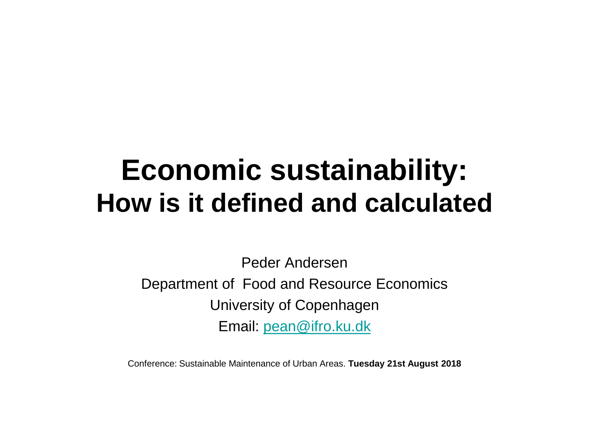## **Economic sustainability: How is it defined and calculated**

Peder Andersen Department of Food and Resource Economics University of Copenhagen Email: [pean@ifro.ku.dk](mailto:pean@ifro.ku.dk)

Conference: Sustainable Maintenance of Urban Areas. **Tuesday 21st August 2018**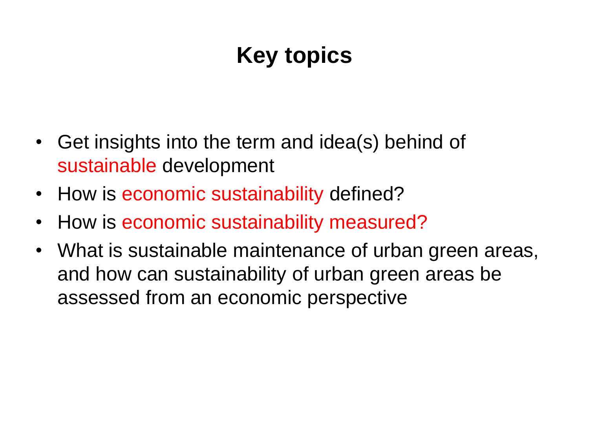## **Key topics**

- Get insights into the term and idea(s) behind of sustainable development
- How is economic sustainability defined?
- How is economic sustainability measured?
- What is sustainable maintenance of urban green areas, and how can sustainability of urban green areas be assessed from an economic perspective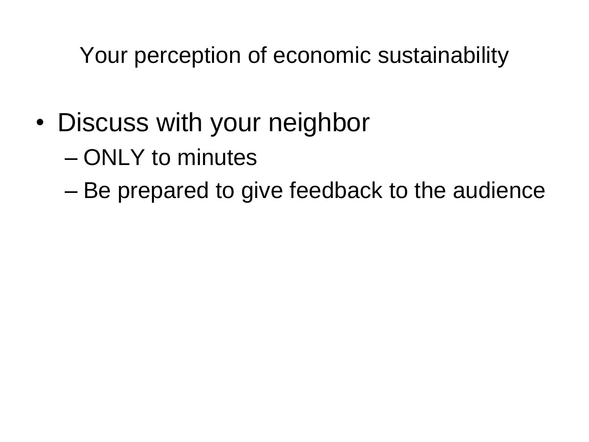Your perception of economic sustainability

- Discuss with your neighbor
	- ONLY to minutes
	- Be prepared to give feedback to the audience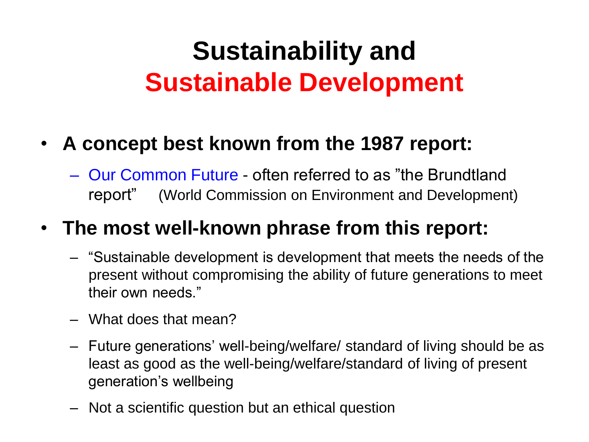## **Sustainability and Sustainable Development**

### • **A concept best known from the 1987 report:**

– Our Common Future - often referred to as "the Brundtland report" (World Commission on Environment and Development)

### • **The most well-known phrase from this report:**

- "Sustainable development is development that meets the needs of the present without compromising the ability of future generations to meet their own needs."
- What does that mean?
- Future generations' well-being/welfare/ standard of living should be as least as good as the well-being/welfare/standard of living of present generation's wellbeing
- Not a scientific question but an ethical question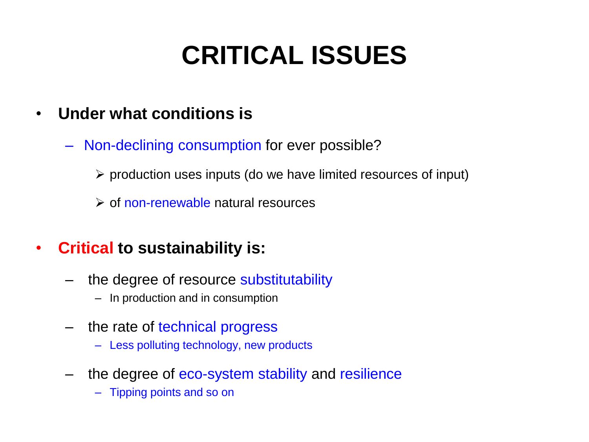## **CRITICAL ISSUES**

- **Under what conditions is**
	- Non-declining consumption for ever possible?
		- $\triangleright$  production uses inputs (do we have limited resources of input)
		- $\triangleright$  of non-renewable natural resources
- **Critical to sustainability is:**
	- the degree of resource substitutability
		- In production and in consumption
	- the rate of technical progress
		- Less polluting technology, new products
	- the degree of eco-system stability and resilience
		- Tipping points and so on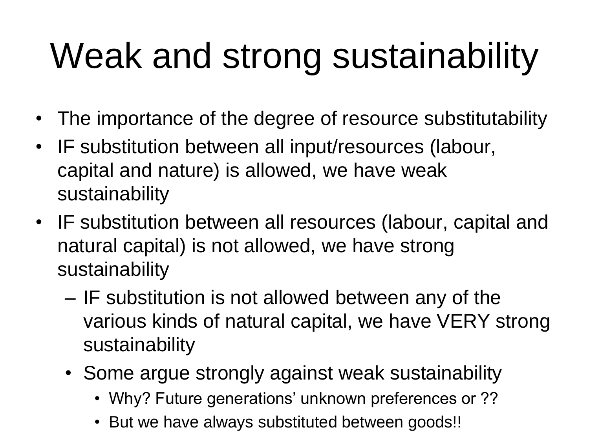# Weak and strong sustainability

- The importance of the degree of resource substitutability
- IF substitution between all input/resources (labour, capital and nature) is allowed, we have weak sustainability
- IF substitution between all resources (labour, capital and natural capital) is not allowed, we have strong sustainability
	- IF substitution is not allowed between any of the various kinds of natural capital, we have VERY strong sustainability
	- Some argue strongly against weak sustainability
		- Why? Future generations' unknown preferences or ??
		- But we have always substituted between goods!!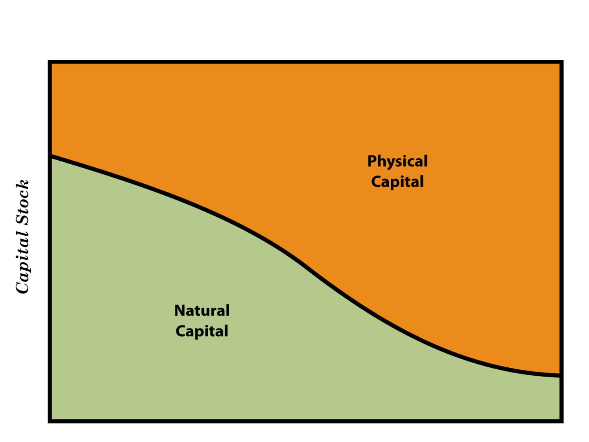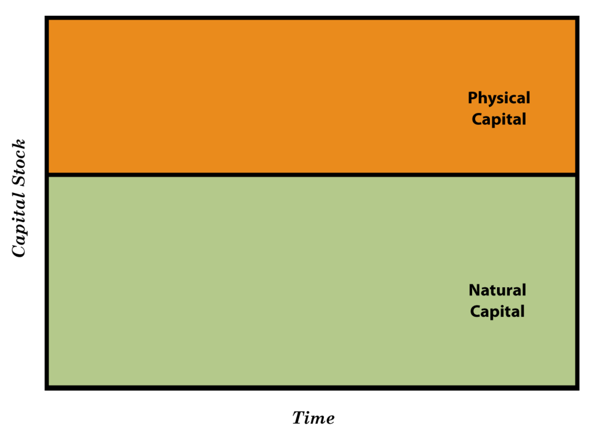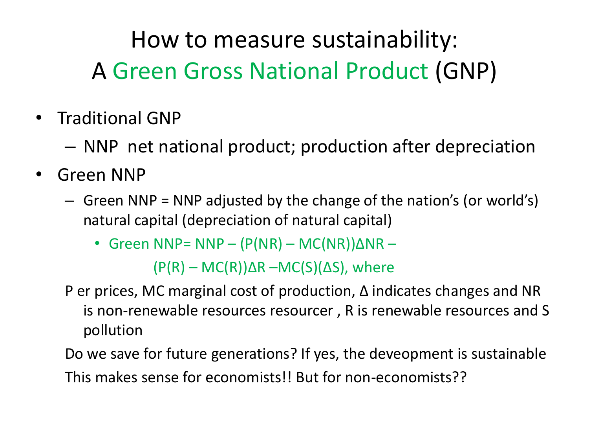How to measure sustainability: A Green Gross National Product (GNP)

- Traditional GNP
	- NNP net national product; production after depreciation
- Green NNP
	- Green NNP = NNP adjusted by the change of the nation's (or world's) natural capital (depreciation of natural capital)
		- Green NNP= NNP (P(NR) MC(NR))∆NR –

 $(P(R) - MC(R))\Delta R - MC(S)(\Delta S)$ , where

P er prices, MC marginal cost of production, ∆ indicates changes and NR is non-renewable resources resourcer , R is renewable resources and S pollution

Do we save for future generations? If yes, the deveopment is sustainable This makes sense for economists!! But for non-economists??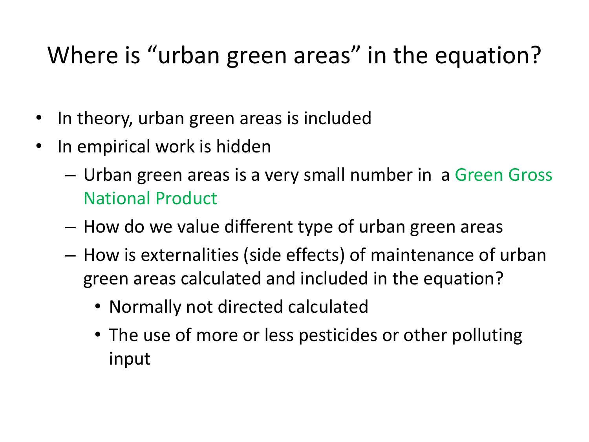## Where is "urban green areas" in the equation?

- In theory, urban green areas is included
- In empirical work is hidden
	- Urban green areas is a very small number in a Green Gross National Product
	- How do we value different type of urban green areas
	- How is externalities (side effects) of maintenance of urban green areas calculated and included in the equation?
		- Normally not directed calculated
		- The use of more or less pesticides or other polluting input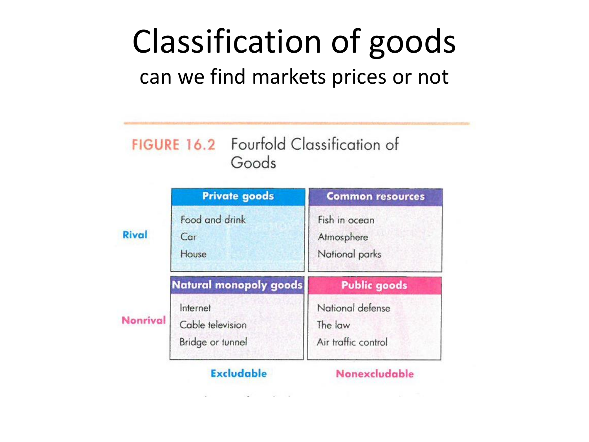# Classification of goods

### can we find markets prices or not

#### FIGURE 16.2 Fourfold Classification of Goods

|                 | <b>Private goods</b>                             | <b>Common resources</b>                            |
|-----------------|--------------------------------------------------|----------------------------------------------------|
| <b>Rival</b>    | Food and drink<br>Car<br>House                   | Fish in ocean<br>Atmosphere<br>National parks      |
| <b>Nonrival</b> | Natural monopoly goods                           | <b>Public goods</b>                                |
|                 | Internet<br>Cable television<br>Bridge or tunnel | National defense<br>The law<br>Air traffic control |

**Excludable** 

Nonexcludable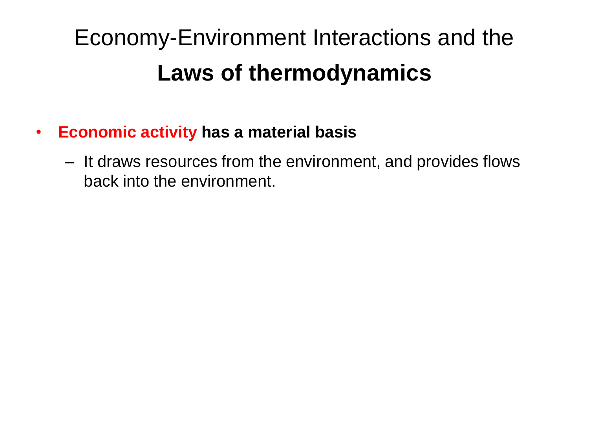## Economy-Environment Interactions and the **Laws of thermodynamics**

- **Economic activity has a material basis**
	- It draws resources from the environment, and provides flows back into the environment.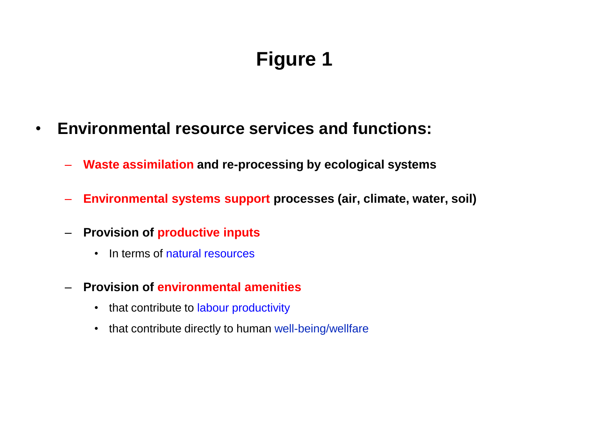### **Figure 1**

- **Environmental resource services and functions:**
	- **Waste assimilation and re-processing by ecological systems**
	- **Environmental systems support processes (air, climate, water, soil)**
	- **Provision of productive inputs**
		- In terms of natural resources
	- **Provision of environmental amenities**
		- that contribute to labour productivity
		- that contribute directly to human well-being/wellfare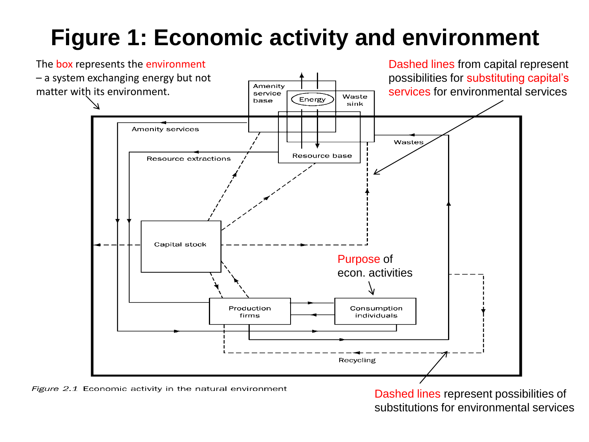## **Figure 1: Economic activity and environment**



Figure 2.1 Economic activity in the natural environment

Dashed lines represent possibilities of substitutions for environmental services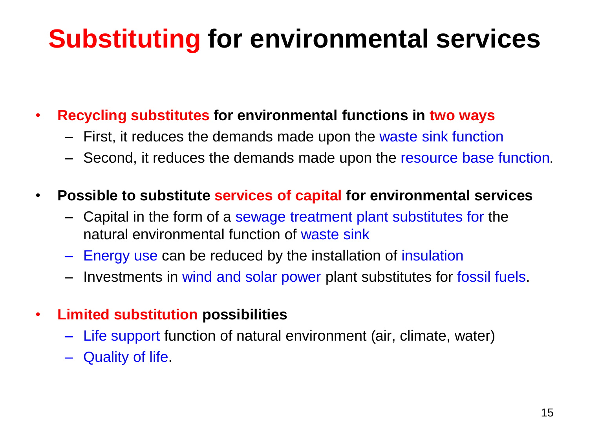## **Substituting for environmental services**

- **Recycling substitutes for environmental functions in two ways**
	- First, it reduces the demands made upon the waste sink function
	- Second, it reduces the demands made upon the resource base function.
- **Possible to substitute services of capital for environmental services** 
	- Capital in the form of a sewage treatment plant substitutes for the natural environmental function of waste sink
	- Energy use can be reduced by the installation of insulation
	- Investments in wind and solar power plant substitutes for fossil fuels.
- **Limited substitution possibilities** 
	- Life support function of natural environment (air, climate, water)
	- Quality of life.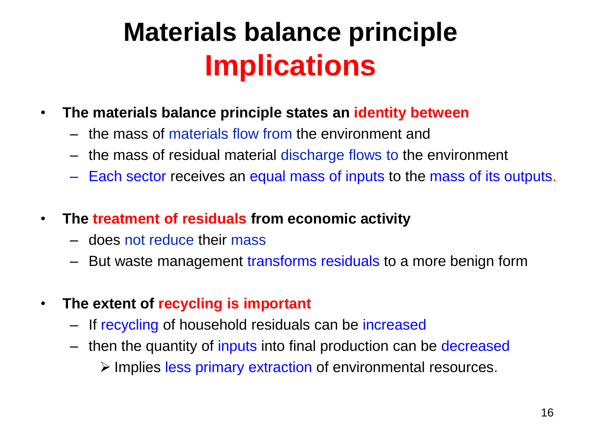# **Materials balance principle Implications**

- **The materials balance principle states an identity between** 
	- the mass of materials flow from the environment and
	- the mass of residual material discharge flows to the environment
	- Each sector receives an equal mass of inputs to the mass of its outputs.
- **The treatment of residuals from economic activity** 
	- does not reduce their mass
	- But waste management transforms residuals to a more benign form
- **The extent of recycling is important**
	- If recycling of household residuals can be increased
	- then the quantity of inputs into final production can be decreased  $\triangleright$  Implies less primary extraction of environmental resources.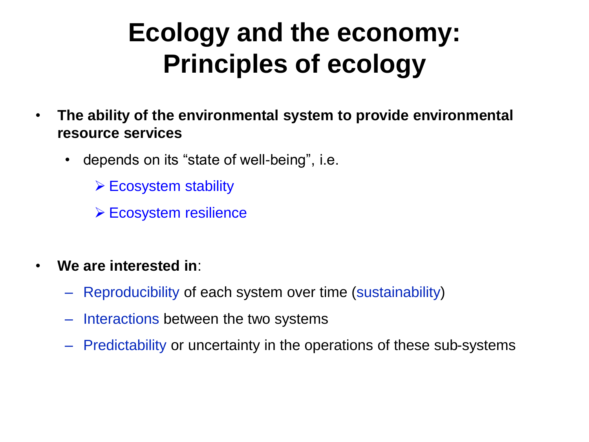## **Ecology and the economy: Principles of ecology**

- **The ability of the environmental system to provide environmental resource services** 
	- depends on its "state of well-being", i.e.
		- $\triangleright$  Ecosystem stability
		- Ecosystem resilience
- **We are interested in**:
	- Reproducibility of each system over time (sustainability)
	- Interactions between the two systems
	- Predictability or uncertainty in the operations of these sub-systems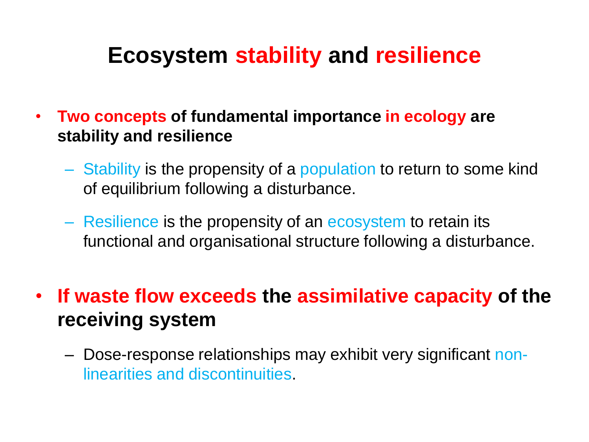### **Ecosystem stability and resilience**

- **Two concepts of fundamental importance in ecology are stability and resilience**
	- Stability is the propensity of a population to return to some kind of equilibrium following a disturbance.
	- Resilience is the propensity of an ecosystem to retain its functional and organisational structure following a disturbance.
- **If waste flow exceeds the assimilative capacity of the receiving system**
	- Dose-response relationships may exhibit very significant nonlinearities and discontinuities.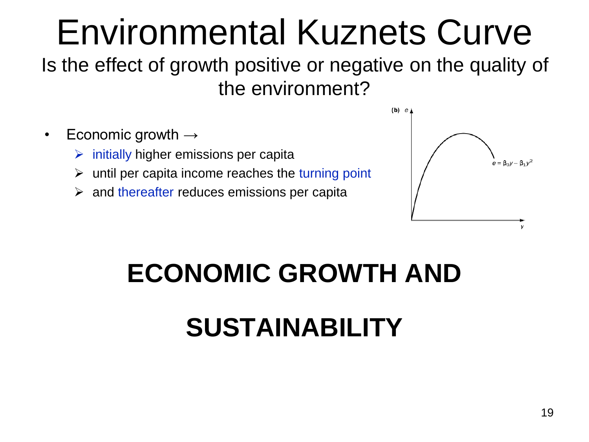# Environmental Kuznets Curve

### Is the effect of growth positive or negative on the quality of the environment?

- Economic growth  $\rightarrow$ 
	- $\triangleright$  initially higher emissions per capita
	- $\triangleright$  until per capita income reaches the turning point
	- $\triangleright$  and thereafter reduces emissions per capita



## **ECONOMIC GROWTH AND**

## **SUSTAINABILITY**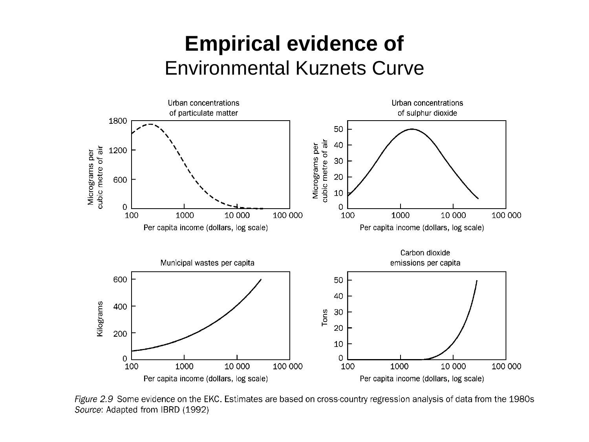### **Empirical evidence of** Environmental Kuznets Curve



Figure 2.9 Some evidence on the EKC. Estimates are based on cross-country regression analysis of data from the 1980s Source: Adapted from IBRD (1992)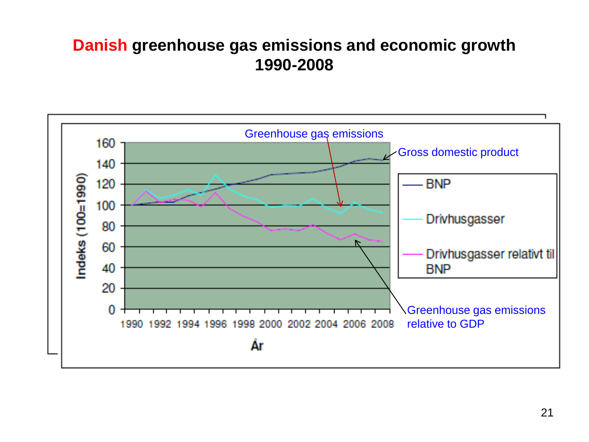#### **Danish greenhouse gas emissions and economic growth 1990-2008**

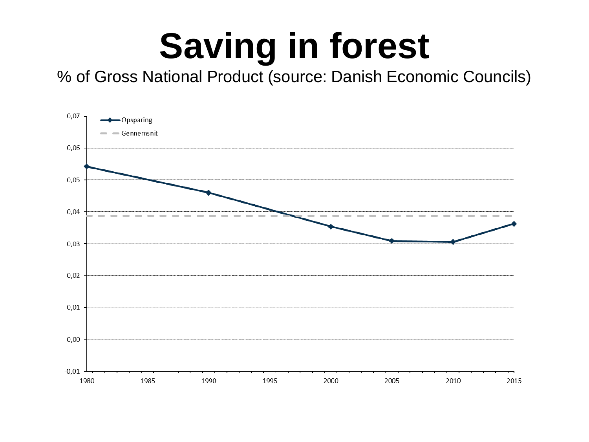# **Saving in forest**

% of Gross National Product (source: Danish Economic Councils)

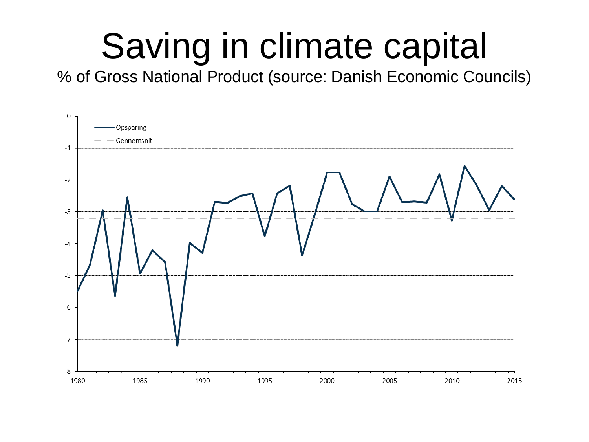# Saving in climate capital

% of Gross National Product (source: Danish Economic Councils)

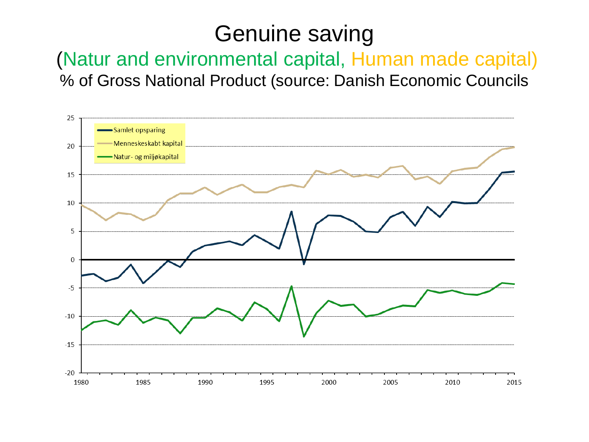## Genuine saving

### (Natur and environmental capital, Human made capital) % of Gross National Product (source: Danish Economic Councils

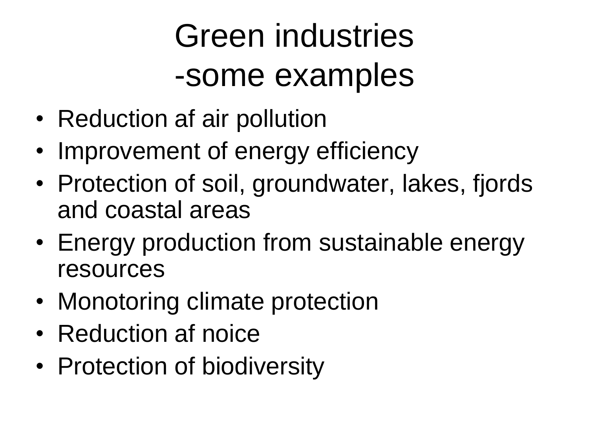# Green industries -some examples

- Reduction af air pollution
- Improvement of energy efficiency
- Protection of soil, groundwater, lakes, fjords and coastal areas
- Energy production from sustainable energy resources
- Monotoring climate protection
- Reduction af noice
- Protection of biodiversity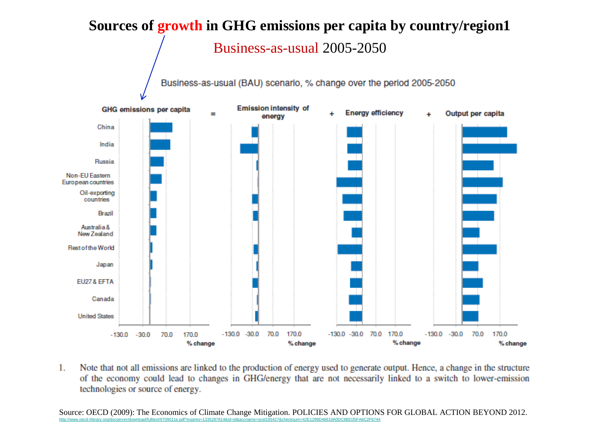

Note that not all emissions are linked to the production of energy used to generate output. Hence, a change in the structure 1. of the economy could lead to changes in GHG/energy that are not necessarily linked to a switch to lower-emission technologies or source of energy.

Source: OECD (2009): The Economics of Climate Change Mitigation. POLICIES AND OPTIONS FOR GLOBAL ACTION BEYOND 2012. <http://www.oecd-ilibrary.org/docserver/download/fulltext/9709011e.pdf?expires=1335287814&id=id&accname=ocid195427&checksum=42E1299D46610A0DC8BD35FA6C2F6744>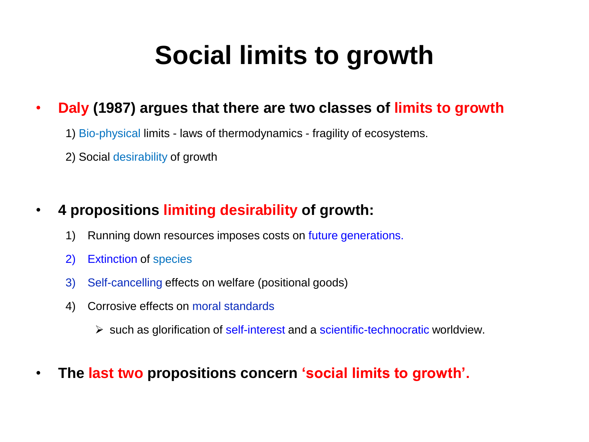## **Social limits to growth**

#### • **Daly (1987) argues that there are two classes of limits to growth**

1) Bio-physical limits - laws of thermodynamics - fragility of ecosystems.

2) Social desirability of growth

#### • **4 propositions limiting desirability of growth:**

- 1) Running down resources imposes costs on future generations.
- 2) Extinction of species
- 3) Self-cancelling effects on welfare (positional goods)
- 4) Corrosive effects on moral standards
	- $\triangleright$  such as glorification of self-interest and a scientific-technocratic worldview.
- **The last two propositions concern 'social limits to growth'.**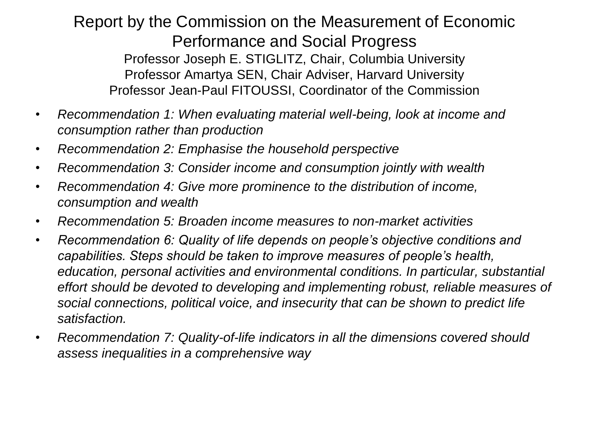#### Report by the Commission on the Measurement of Economic Performance and Social Progress Professor Joseph E. STIGLITZ, Chair, Columbia University Professor Amartya SEN, Chair Adviser, Harvard University Professor Jean-Paul FITOUSSI, Coordinator of the Commission

- *Recommendation 1: When evaluating material well-being, look at income and consumption rather than production*
- *Recommendation 2: Emphasise the household perspective*
- *Recommendation 3: Consider income and consumption jointly with wealth*
- *Recommendation 4: Give more prominence to the distribution of income, consumption and wealth*
- *Recommendation 5: Broaden income measures to non-market activities*
- *Recommendation 6: Quality of life depends on people's objective conditions and capabilities. Steps should be taken to improve measures of people's health, education, personal activities and environmental conditions. In particular, substantial effort should be devoted to developing and implementing robust, reliable measures of social connections, political voice, and insecurity that can be shown to predict life satisfaction.*
- *Recommendation 7: Quality-of-life indicators in all the dimensions covered should assess inequalities in a comprehensive way*